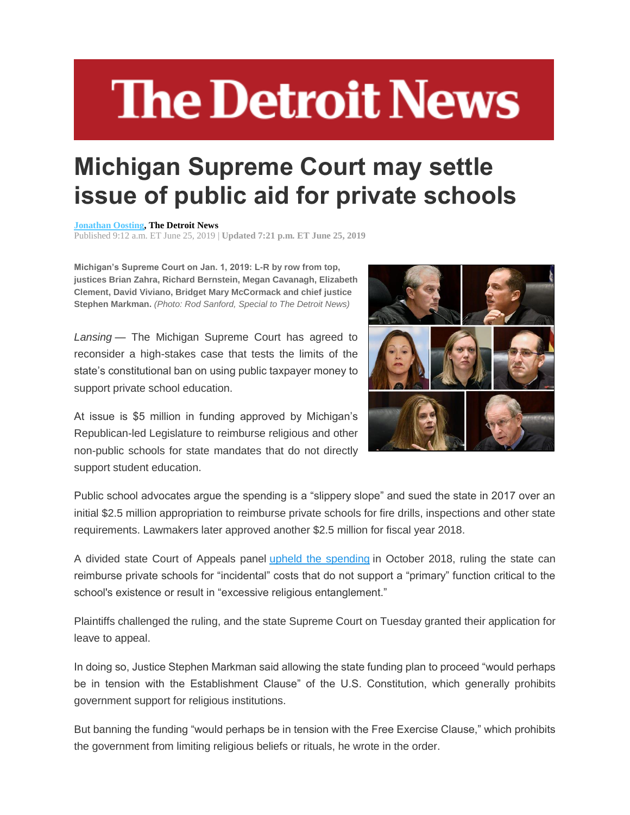## **The Detroit News**

## **Michigan Supreme Court may settle issue of public aid for private schools**

## **[Jonathan Oosting,](http://www.detroitnews.com/staff/10046778/jonathan-oosting/) The Detroit News**

Published 9:12 a.m. ET June 25, 2019 | **Updated 7:21 p.m. ET June 25, 2019**

**Michigan's Supreme Court on Jan. 1, 2019: L-R by row from top, justices Brian Zahra, Richard Bernstein, Megan Cavanagh, Elizabeth Clement, David Viviano, Bridget Mary McCormack and chief justice Stephen Markman.** *(Photo: Rod Sanford, Special to The Detroit News)*

*Lansing* — The Michigan Supreme Court has agreed to reconsider a high-stakes case that tests the limits of the state's constitutional ban on using public taxpayer money to support private school education.

At issue is \$5 million in funding approved by Michigan's Republican-led Legislature to reimburse religious and other non-public schools for state mandates that do not directly support student education.



Public school advocates argue the spending is a "slippery slope" and sued the state in 2017 over an initial \$2.5 million appropriation to reimburse private schools for fire drills, inspections and other state requirements. Lawmakers later approved another \$2.5 million for fiscal year 2018.

A divided state Court of Appeals panel [upheld the spending](https://www.detroitnews.com/story/news/local/michigan/2018/10/16/michigan-public-funding-private-schools/1659103002/) in October 2018, ruling the state can reimburse private schools for "incidental" costs that do not support a "primary" function critical to the school's existence or result in "excessive religious entanglement."

Plaintiffs challenged the ruling, and the state Supreme Court on Tuesday granted their application for leave to appeal.

In doing so, Justice Stephen Markman said allowing the state funding plan to proceed "would perhaps be in tension with the Establishment Clause" of the U.S. Constitution, which generally prohibits government support for religious institutions.

But banning the funding "would perhaps be in tension with the Free Exercise Clause," which prohibits the government from limiting religious beliefs or rituals, he wrote in the order.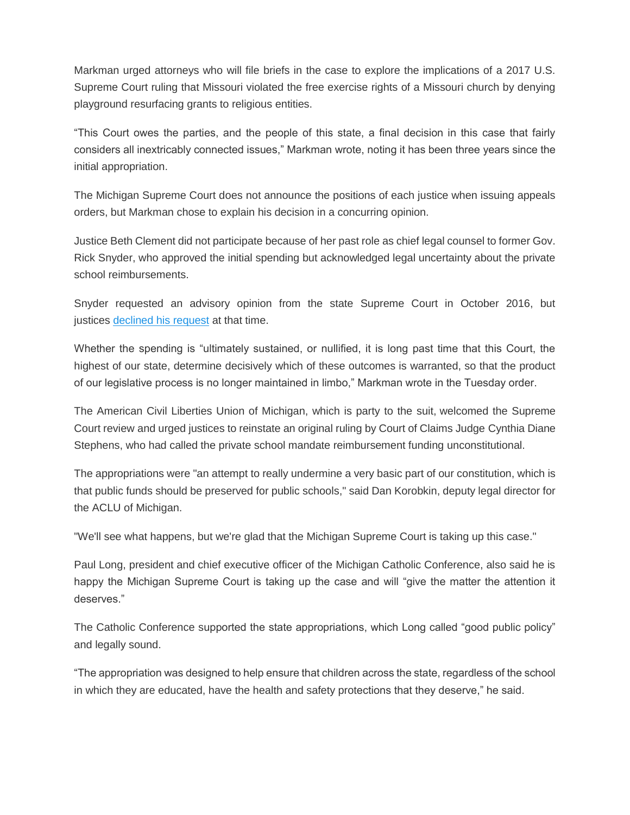Markman urged attorneys who will file briefs in the case to explore the implications of a 2017 U.S. Supreme Court ruling that Missouri violated the free exercise rights of a Missouri church by denying playground resurfacing grants to religious entities.

"This Court owes the parties, and the people of this state, a final decision in this case that fairly considers all inextricably connected issues," Markman wrote, noting it has been three years since the initial appropriation.

The Michigan Supreme Court does not announce the positions of each justice when issuing appeals orders, but Markman chose to explain his decision in a concurring opinion.

Justice Beth Clement did not participate because of her past role as chief legal counsel to former Gov. Rick Snyder, who approved the initial spending but acknowledged legal uncertainty about the private school reimbursements.

Snyder requested an advisory opinion from the state Supreme Court in October 2016, but justices [declined his request](https://www.detroitnews.com/story/news/local/michigan/2016/10/05/supreme-court-private-schools/91602158/) at that time.

Whether the spending is "ultimately sustained, or nullified, it is long past time that this Court, the highest of our state, determine decisively which of these outcomes is warranted, so that the product of our legislative process is no longer maintained in limbo," Markman wrote in the Tuesday order.

The American Civil Liberties Union of Michigan, which is party to the suit, welcomed the Supreme Court review and urged justices to reinstate an original ruling by Court of Claims Judge Cynthia Diane Stephens, who had called the private school mandate reimbursement funding unconstitutional.

The appropriations were "an attempt to really undermine a very basic part of our constitution, which is that public funds should be preserved for public schools," said Dan Korobkin, deputy legal director for the ACLU of Michigan.

"We'll see what happens, but we're glad that the Michigan Supreme Court is taking up this case."

Paul Long, president and chief executive officer of the Michigan Catholic Conference, also said he is happy the Michigan Supreme Court is taking up the case and will "give the matter the attention it deserves."

The Catholic Conference supported the state appropriations, which Long called "good public policy" and legally sound.

"The appropriation was designed to help ensure that children across the state, regardless of the school in which they are educated, have the health and safety protections that they deserve," he said.